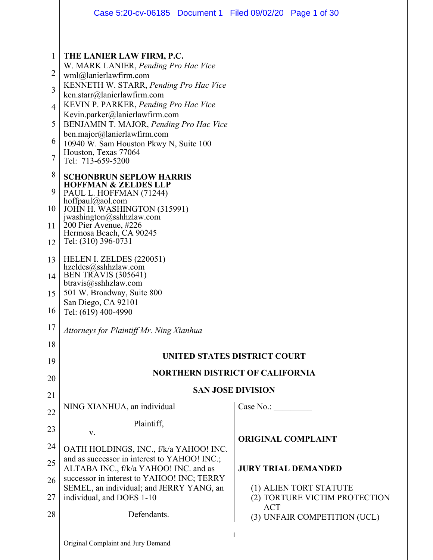|                | Case 5:20-cv-06185 Document 1 Filed 09/02/20 Page 1 of 30                             |                                                         |  |  |  |  |
|----------------|---------------------------------------------------------------------------------------|---------------------------------------------------------|--|--|--|--|
|                |                                                                                       |                                                         |  |  |  |  |
| 1              | THE LANIER LAW FIRM, P.C.<br>W. MARK LANIER, Pending Pro Hac Vice                     |                                                         |  |  |  |  |
| 2              | wml@lanierlawfirm.com                                                                 |                                                         |  |  |  |  |
| 3              | KENNETH W. STARR, Pending Pro Hac Vice<br>ken.starr@lanierlawfirm.com                 |                                                         |  |  |  |  |
| $\overline{4}$ | KEVIN P. PARKER, Pending Pro Hac Vice<br>Kevin.parker@lanierlawfirm.com               |                                                         |  |  |  |  |
| 5              | BENJAMIN T. MAJOR, Pending Pro Hac Vice<br>ben.major@lanierlawfirm.com                |                                                         |  |  |  |  |
| 6              | 10940 W. Sam Houston Pkwy N, Suite 100                                                |                                                         |  |  |  |  |
| 7              | Houston, Texas 77064<br>Tel: 713-659-5200                                             |                                                         |  |  |  |  |
| 8<br>9         | <b>SCHONBRUN SEPLOW HARRIS</b><br><b>HOFFMAN &amp; ZELDES LLP</b>                     |                                                         |  |  |  |  |
| 10             | PAUL L. HOFFMAN (71244)<br>hoffpaul@aol.com<br>JOHN H. WASHINGTON (315991)            |                                                         |  |  |  |  |
| 11             | jwashington@sshhzlaw.com<br>200 Pier Avenue, #226                                     |                                                         |  |  |  |  |
| 12             | Hermosa Beach, CA 90245<br>Tel: (310) 396-0731                                        |                                                         |  |  |  |  |
| 13             | HELEN I. ZELDES (220051)                                                              |                                                         |  |  |  |  |
| 14             | hzeldes@sshhzlaw.com<br><b>BEN TRAVIS (305641)</b>                                    |                                                         |  |  |  |  |
| 15             | $b$ travis $@$ sshhzlaw.com<br>501 W. Broadway, Suite 800                             |                                                         |  |  |  |  |
| 16             | San Diego, CA 92101<br>Tel: (619) 400-4990                                            |                                                         |  |  |  |  |
| 17             | Attorneys for Plaintiff Mr. Ning Xianhua                                              |                                                         |  |  |  |  |
| 18             |                                                                                       |                                                         |  |  |  |  |
| 19             | UNITED STATES DISTRICT COURT                                                          |                                                         |  |  |  |  |
| 20             | <b>NORTHERN DISTRICT OF CALIFORNIA</b>                                                |                                                         |  |  |  |  |
| 21             | <b>SAN JOSE DIVISION</b>                                                              |                                                         |  |  |  |  |
| 22             | NING XIANHUA, an individual                                                           | Case No.:                                               |  |  |  |  |
| 23             | Plaintiff,<br>V.                                                                      |                                                         |  |  |  |  |
| 24             | OATH HOLDINGS, INC., f/k/a YAHOO! INC.                                                | <b>ORIGINAL COMPLAINT</b>                               |  |  |  |  |
| 25             | and as successor in interest to YAHOO! INC.;<br>ALTABA INC., f/k/a YAHOO! INC. and as | <b>JURY TRIAL DEMANDED</b>                              |  |  |  |  |
| 26             | successor in interest to YAHOO! INC; TERRY                                            |                                                         |  |  |  |  |
| 27             | SEMEL, an individual; and JERRY YANG, an<br>individual, and DOES 1-10                 | (1) ALIEN TORT STATUTE<br>(2) TORTURE VICTIM PROTECTION |  |  |  |  |
| 28             | Defendants.                                                                           | <b>ACT</b><br>(3) UNFAIR COMPETITION (UCL)              |  |  |  |  |
|                | Original Complaint and Jury Demand                                                    | 1                                                       |  |  |  |  |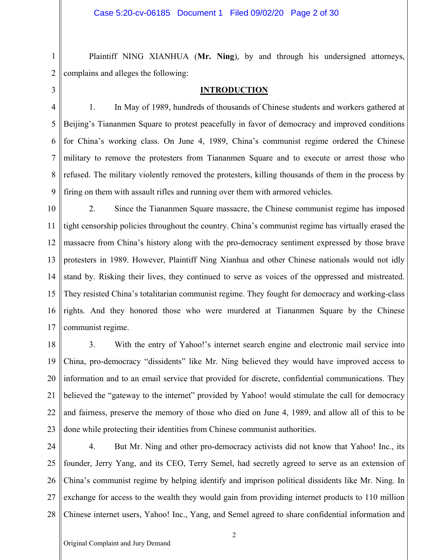2 3

1

Plaintiff NING XIANHUA (**Mr. Ning**), by and through his undersigned attorneys, complains and alleges the following:

## **INTRODUCTION**

4 5 6 7 8 9 1. In May of 1989, hundreds of thousands of Chinese students and workers gathered at Beijing's Tiananmen Square to protest peacefully in favor of democracy and improved conditions for China's working class. On June 4, 1989, China's communist regime ordered the Chinese military to remove the protesters from Tiananmen Square and to execute or arrest those who refused. The military violently removed the protesters, killing thousands of them in the process by firing on them with assault rifles and running over them with armored vehicles.

10 11 12 13 14 15 16 17 2. Since the Tiananmen Square massacre, the Chinese communist regime has imposed tight censorship policies throughout the country. China's communist regime has virtually erased the massacre from China's history along with the pro-democracy sentiment expressed by those brave protesters in 1989. However, Plaintiff Ning Xianhua and other Chinese nationals would not idly stand by. Risking their lives, they continued to serve as voices of the oppressed and mistreated. They resisted China's totalitarian communist regime. They fought for democracy and working-class rights. And they honored those who were murdered at Tiananmen Square by the Chinese communist regime.

18 19 20 21 22 23 3. With the entry of Yahoo!'s internet search engine and electronic mail service into China, pro-democracy "dissidents" like Mr. Ning believed they would have improved access to information and to an email service that provided for discrete, confidential communications. They believed the "gateway to the internet" provided by Yahoo! would stimulate the call for democracy and fairness, preserve the memory of those who died on June 4, 1989, and allow all of this to be done while protecting their identities from Chinese communist authorities.

24 25 26 27 28 4. But Mr. Ning and other pro-democracy activists did not know that Yahoo! Inc., its founder, Jerry Yang, and its CEO, Terry Semel, had secretly agreed to serve as an extension of China's communist regime by helping identify and imprison political dissidents like Mr. Ning. In exchange for access to the wealth they would gain from providing internet products to 110 million Chinese internet users, Yahoo! Inc., Yang, and Semel agreed to share confidential information and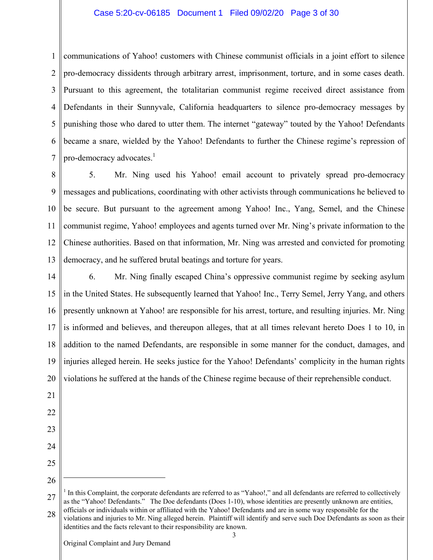## Case 5:20-cv-06185 Document 1 Filed 09/02/20 Page 3 of 30

1 2 3 4 5 6 7 communications of Yahoo! customers with Chinese communist officials in a joint effort to silence pro-democracy dissidents through arbitrary arrest, imprisonment, torture, and in some cases death. Pursuant to this agreement, the totalitarian communist regime received direct assistance from Defendants in their Sunnyvale, California headquarters to silence pro-democracy messages by punishing those who dared to utter them. The internet "gateway" touted by the Yahoo! Defendants became a snare, wielded by the Yahoo! Defendants to further the Chinese regime's repression of pro-democracy advocates.<sup>1</sup>

8 9 10 11 12 13 5. Mr. Ning used his Yahoo! email account to privately spread pro-democracy messages and publications, coordinating with other activists through communications he believed to be secure. But pursuant to the agreement among Yahoo! Inc., Yang, Semel, and the Chinese communist regime, Yahoo! employees and agents turned over Mr. Ning's private information to the Chinese authorities. Based on that information, Mr. Ning was arrested and convicted for promoting democracy, and he suffered brutal beatings and torture for years.

14 15 16 17 18 19 20 6. Mr. Ning finally escaped China's oppressive communist regime by seeking asylum in the United States. He subsequently learned that Yahoo! Inc., Terry Semel, Jerry Yang, and others presently unknown at Yahoo! are responsible for his arrest, torture, and resulting injuries. Mr. Ning is informed and believes, and thereupon alleges, that at all times relevant hereto Does 1 to 10, in addition to the named Defendants, are responsible in some manner for the conduct, damages, and injuries alleged herein. He seeks justice for the Yahoo! Defendants' complicity in the human rights violations he suffered at the hands of the Chinese regime because of their reprehensible conduct.

- 21
- 22 23
- 24
- 25
- 26

 $\overline{a}$ 

identities and the facts relevant to their responsibility are known.

<sup>27</sup> 28 <sup>1</sup> In this Complaint, the corporate defendants are referred to as "Yahoo!," and all defendants are referred to collectively as the "Yahoo! Defendants." The Doe defendants (Does 1-10), whose identities are presently unknown are entities, officials or individuals within or affiliated with the Yahoo! Defendants and are in some way responsible for the violations and injuries to Mr. Ning alleged herein. Plaintiff will identify and serve such Doe Defendants as soon as their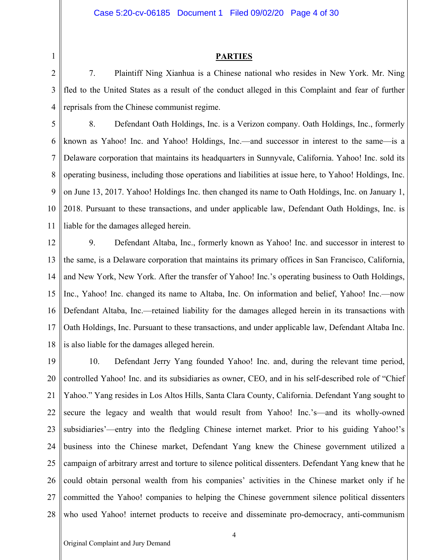## **PARTIES**

2 3 4 7. Plaintiff Ning Xianhua is a Chinese national who resides in New York. Mr. Ning fled to the United States as a result of the conduct alleged in this Complaint and fear of further reprisals from the Chinese communist regime.

5 6 7 8 9 10 11 8. Defendant Oath Holdings, Inc. is a Verizon company. Oath Holdings, Inc., formerly known as Yahoo! Inc. and Yahoo! Holdings, Inc.—and successor in interest to the same—is a Delaware corporation that maintains its headquarters in Sunnyvale, California. Yahoo! Inc. sold its operating business, including those operations and liabilities at issue here, to Yahoo! Holdings, Inc. on June 13, 2017. Yahoo! Holdings Inc. then changed its name to Oath Holdings, Inc. on January 1, 2018. Pursuant to these transactions, and under applicable law, Defendant Oath Holdings, Inc. is liable for the damages alleged herein.

12 13 14 15 16 17 18 9. Defendant Altaba, Inc., formerly known as Yahoo! Inc. and successor in interest to the same, is a Delaware corporation that maintains its primary offices in San Francisco, California, and New York, New York. After the transfer of Yahoo! Inc.'s operating business to Oath Holdings, Inc., Yahoo! Inc. changed its name to Altaba, Inc. On information and belief, Yahoo! Inc.—now Defendant Altaba, Inc.—retained liability for the damages alleged herein in its transactions with Oath Holdings, Inc. Pursuant to these transactions, and under applicable law, Defendant Altaba Inc. is also liable for the damages alleged herein.

19 20 21 22 23 24 25 26 27 28 10. Defendant Jerry Yang founded Yahoo! Inc. and, during the relevant time period, controlled Yahoo! Inc. and its subsidiaries as owner, CEO, and in his self-described role of "Chief Yahoo." Yang resides in Los Altos Hills, Santa Clara County, California. Defendant Yang sought to secure the legacy and wealth that would result from Yahoo! Inc.'s—and its wholly-owned subsidiaries'—entry into the fledgling Chinese internet market. Prior to his guiding Yahoo!'s business into the Chinese market, Defendant Yang knew the Chinese government utilized a campaign of arbitrary arrest and torture to silence political dissenters. Defendant Yang knew that he could obtain personal wealth from his companies' activities in the Chinese market only if he committed the Yahoo! companies to helping the Chinese government silence political dissenters who used Yahoo! internet products to receive and disseminate pro-democracy, anti-communism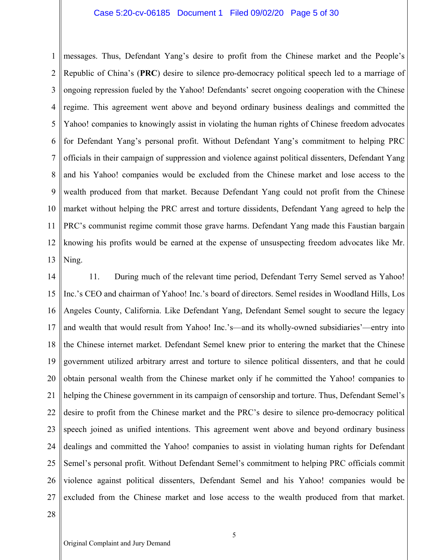## Case 5:20-cv-06185 Document 1 Filed 09/02/20 Page 5 of 30

1 2 3 4 5 6 7 8 9 10 11 12 13 messages. Thus, Defendant Yang's desire to profit from the Chinese market and the People's Republic of China's (**PRC**) desire to silence pro-democracy political speech led to a marriage of ongoing repression fueled by the Yahoo! Defendants' secret ongoing cooperation with the Chinese regime. This agreement went above and beyond ordinary business dealings and committed the Yahoo! companies to knowingly assist in violating the human rights of Chinese freedom advocates for Defendant Yang's personal profit. Without Defendant Yang's commitment to helping PRC officials in their campaign of suppression and violence against political dissenters, Defendant Yang and his Yahoo! companies would be excluded from the Chinese market and lose access to the wealth produced from that market. Because Defendant Yang could not profit from the Chinese market without helping the PRC arrest and torture dissidents, Defendant Yang agreed to help the PRC's communist regime commit those grave harms. Defendant Yang made this Faustian bargain knowing his profits would be earned at the expense of unsuspecting freedom advocates like Mr. Ning.

14 15 16 17 18 19 20 21 22 23 24 25 26 27 11. During much of the relevant time period, Defendant Terry Semel served as Yahoo! Inc.'s CEO and chairman of Yahoo! Inc.'s board of directors. Semel resides in Woodland Hills, Los Angeles County, California. Like Defendant Yang, Defendant Semel sought to secure the legacy and wealth that would result from Yahoo! Inc.'s—and its wholly-owned subsidiaries'—entry into the Chinese internet market. Defendant Semel knew prior to entering the market that the Chinese government utilized arbitrary arrest and torture to silence political dissenters, and that he could obtain personal wealth from the Chinese market only if he committed the Yahoo! companies to helping the Chinese government in its campaign of censorship and torture. Thus, Defendant Semel's desire to profit from the Chinese market and the PRC's desire to silence pro-democracy political speech joined as unified intentions. This agreement went above and beyond ordinary business dealings and committed the Yahoo! companies to assist in violating human rights for Defendant Semel's personal profit. Without Defendant Semel's commitment to helping PRC officials commit violence against political dissenters, Defendant Semel and his Yahoo! companies would be excluded from the Chinese market and lose access to the wealth produced from that market.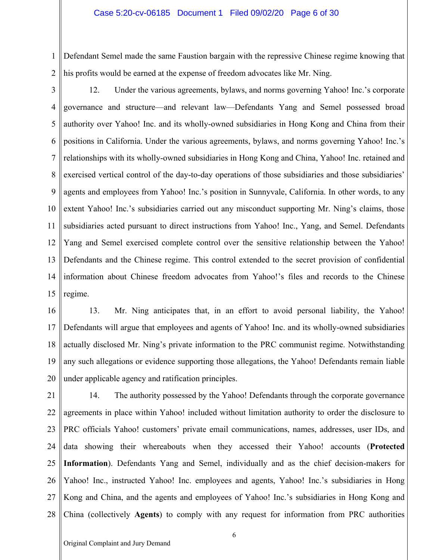1 2 Defendant Semel made the same Faustion bargain with the repressive Chinese regime knowing that his profits would be earned at the expense of freedom advocates like Mr. Ning.

3 4 5 6 7 8 9 10 11 12 13 14 15 12. Under the various agreements, bylaws, and norms governing Yahoo! Inc.'s corporate governance and structure—and relevant law—Defendants Yang and Semel possessed broad authority over Yahoo! Inc. and its wholly-owned subsidiaries in Hong Kong and China from their positions in California. Under the various agreements, bylaws, and norms governing Yahoo! Inc.'s relationships with its wholly-owned subsidiaries in Hong Kong and China, Yahoo! Inc. retained and exercised vertical control of the day-to-day operations of those subsidiaries and those subsidiaries' agents and employees from Yahoo! Inc.'s position in Sunnyvale, California. In other words, to any extent Yahoo! Inc.'s subsidiaries carried out any misconduct supporting Mr. Ning's claims, those subsidiaries acted pursuant to direct instructions from Yahoo! Inc., Yang, and Semel. Defendants Yang and Semel exercised complete control over the sensitive relationship between the Yahoo! Defendants and the Chinese regime. This control extended to the secret provision of confidential information about Chinese freedom advocates from Yahoo!'s files and records to the Chinese regime.

16 17 18 19 20 13. Mr. Ning anticipates that, in an effort to avoid personal liability, the Yahoo! Defendants will argue that employees and agents of Yahoo! Inc. and its wholly-owned subsidiaries actually disclosed Mr. Ning's private information to the PRC communist regime. Notwithstanding any such allegations or evidence supporting those allegations, the Yahoo! Defendants remain liable under applicable agency and ratification principles.

21 22 23 24 25 26 27 28 14. The authority possessed by the Yahoo! Defendants through the corporate governance agreements in place within Yahoo! included without limitation authority to order the disclosure to PRC officials Yahoo! customers' private email communications, names, addresses, user IDs, and data showing their whereabouts when they accessed their Yahoo! accounts (**Protected Information**). Defendants Yang and Semel, individually and as the chief decision-makers for Yahoo! Inc., instructed Yahoo! Inc. employees and agents, Yahoo! Inc.'s subsidiaries in Hong Kong and China, and the agents and employees of Yahoo! Inc.'s subsidiaries in Hong Kong and China (collectively **Agents**) to comply with any request for information from PRC authorities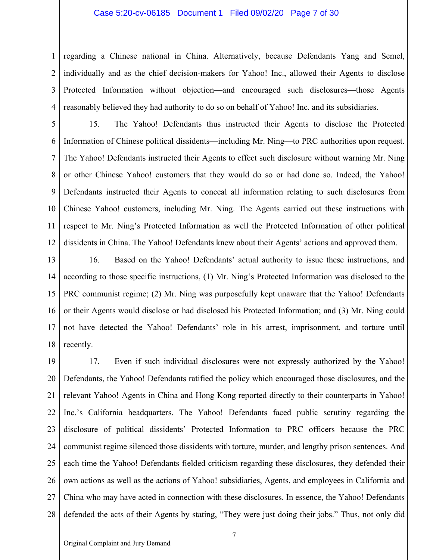## Case 5:20-cv-06185 Document 1 Filed 09/02/20 Page 7 of 30

1 2 3 4 regarding a Chinese national in China. Alternatively, because Defendants Yang and Semel, individually and as the chief decision-makers for Yahoo! Inc., allowed their Agents to disclose Protected Information without objection—and encouraged such disclosures—those Agents reasonably believed they had authority to do so on behalf of Yahoo! Inc. and its subsidiaries.

5 6 7 8 9 10 11 12 15. The Yahoo! Defendants thus instructed their Agents to disclose the Protected Information of Chinese political dissidents—including Mr. Ning—to PRC authorities upon request. The Yahoo! Defendants instructed their Agents to effect such disclosure without warning Mr. Ning or other Chinese Yahoo! customers that they would do so or had done so. Indeed, the Yahoo! Defendants instructed their Agents to conceal all information relating to such disclosures from Chinese Yahoo! customers, including Mr. Ning. The Agents carried out these instructions with respect to Mr. Ning's Protected Information as well the Protected Information of other political dissidents in China. The Yahoo! Defendants knew about their Agents' actions and approved them.

13 14 15 16 17 18 16. Based on the Yahoo! Defendants' actual authority to issue these instructions, and according to those specific instructions, (1) Mr. Ning's Protected Information was disclosed to the PRC communist regime; (2) Mr. Ning was purposefully kept unaware that the Yahoo! Defendants or their Agents would disclose or had disclosed his Protected Information; and (3) Mr. Ning could not have detected the Yahoo! Defendants' role in his arrest, imprisonment, and torture until recently.

19 20 21 22 23 24 25 26 27 28 17. Even if such individual disclosures were not expressly authorized by the Yahoo! Defendants, the Yahoo! Defendants ratified the policy which encouraged those disclosures, and the relevant Yahoo! Agents in China and Hong Kong reported directly to their counterparts in Yahoo! Inc.'s California headquarters. The Yahoo! Defendants faced public scrutiny regarding the disclosure of political dissidents' Protected Information to PRC officers because the PRC communist regime silenced those dissidents with torture, murder, and lengthy prison sentences. And each time the Yahoo! Defendants fielded criticism regarding these disclosures, they defended their own actions as well as the actions of Yahoo! subsidiaries, Agents, and employees in California and China who may have acted in connection with these disclosures. In essence, the Yahoo! Defendants defended the acts of their Agents by stating, "They were just doing their jobs." Thus, not only did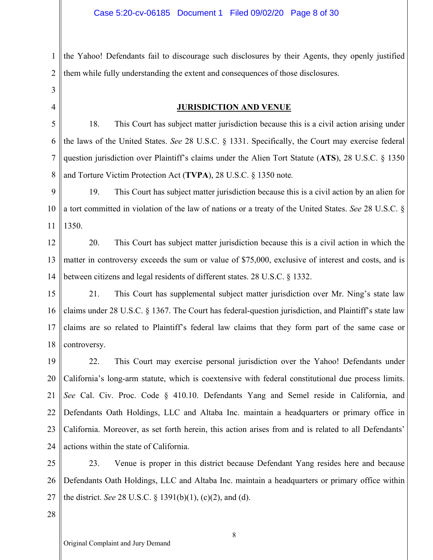1 2 the Yahoo! Defendants fail to discourage such disclosures by their Agents, they openly justified them while fully understanding the extent and consequences of those disclosures.

3 4

## **JURISDICTION AND VENUE**

5 6 7 8 18. This Court has subject matter jurisdiction because this is a civil action arising under the laws of the United States. *See* 28 U.S.C. § 1331. Specifically, the Court may exercise federal question jurisdiction over Plaintiff's claims under the Alien Tort Statute (**ATS**), 28 U.S.C. § 1350 and Torture Victim Protection Act (**TVPA**), 28 U.S.C. § 1350 note*.* 

9 10 11 19. This Court has subject matter jurisdiction because this is a civil action by an alien for a tort committed in violation of the law of nations or a treaty of the United States. *See* 28 U.S.C. § 1350.

12 13 14 20. This Court has subject matter jurisdiction because this is a civil action in which the matter in controversy exceeds the sum or value of \$75,000, exclusive of interest and costs, and is between citizens and legal residents of different states. 28 U.S.C. § 1332.

15 16 17 18 21. This Court has supplemental subject matter jurisdiction over Mr. Ning's state law claims under 28 U.S.C. § 1367. The Court has federal-question jurisdiction, and Plaintiff's state law claims are so related to Plaintiff's federal law claims that they form part of the same case or controversy.

19 20 21 22 23 24 22. This Court may exercise personal jurisdiction over the Yahoo! Defendants under California's long-arm statute, which is coextensive with federal constitutional due process limits. *See* Cal. Civ. Proc. Code § 410.10. Defendants Yang and Semel reside in California, and Defendants Oath Holdings, LLC and Altaba Inc. maintain a headquarters or primary office in California. Moreover, as set forth herein, this action arises from and is related to all Defendants' actions within the state of California.

25 26 27 23. Venue is proper in this district because Defendant Yang resides here and because Defendants Oath Holdings, LLC and Altaba Inc. maintain a headquarters or primary office within the district. *See* 28 U.S.C. § 1391(b)(1), (c)(2), and (d).

28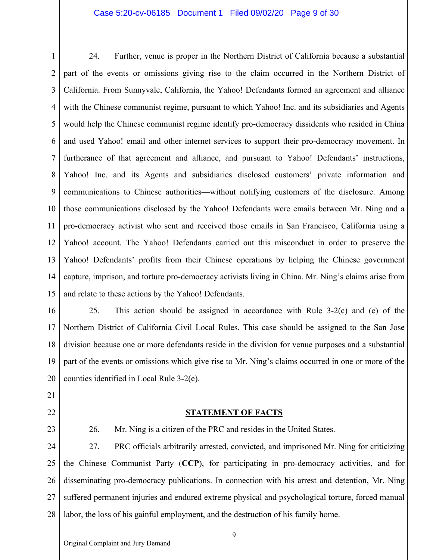## Case 5:20-cv-06185 Document 1 Filed 09/02/20 Page 9 of 30

1 2 3 4 5 6 7 8 9 10 11 12 13 14 15 24. Further, venue is proper in the Northern District of California because a substantial part of the events or omissions giving rise to the claim occurred in the Northern District of California. From Sunnyvale, California, the Yahoo! Defendants formed an agreement and alliance with the Chinese communist regime, pursuant to which Yahoo! Inc. and its subsidiaries and Agents would help the Chinese communist regime identify pro-democracy dissidents who resided in China and used Yahoo! email and other internet services to support their pro-democracy movement. In furtherance of that agreement and alliance, and pursuant to Yahoo! Defendants' instructions, Yahoo! Inc. and its Agents and subsidiaries disclosed customers' private information and communications to Chinese authorities—without notifying customers of the disclosure. Among those communications disclosed by the Yahoo! Defendants were emails between Mr. Ning and a pro-democracy activist who sent and received those emails in San Francisco, California using a Yahoo! account. The Yahoo! Defendants carried out this misconduct in order to preserve the Yahoo! Defendants' profits from their Chinese operations by helping the Chinese government capture, imprison, and torture pro-democracy activists living in China. Mr. Ning's claims arise from and relate to these actions by the Yahoo! Defendants.

16 17 18 19 20 25. This action should be assigned in accordance with Rule 3-2(c) and (e) of the Northern District of California Civil Local Rules. This case should be assigned to the San Jose division because one or more defendants reside in the division for venue purposes and a substantial part of the events or omissions which give rise to Mr. Ning's claims occurred in one or more of the counties identified in Local Rule 3-2(e).

- 21
- 22
- 23

# **STATEMENT OF FACTS**

26. Mr. Ning is a citizen of the PRC and resides in the United States.

24 25 26 27 28 27. PRC officials arbitrarily arrested, convicted, and imprisoned Mr. Ning for criticizing the Chinese Communist Party (**CCP**), for participating in pro-democracy activities, and for disseminating pro-democracy publications. In connection with his arrest and detention, Mr. Ning suffered permanent injuries and endured extreme physical and psychological torture, forced manual labor, the loss of his gainful employment, and the destruction of his family home.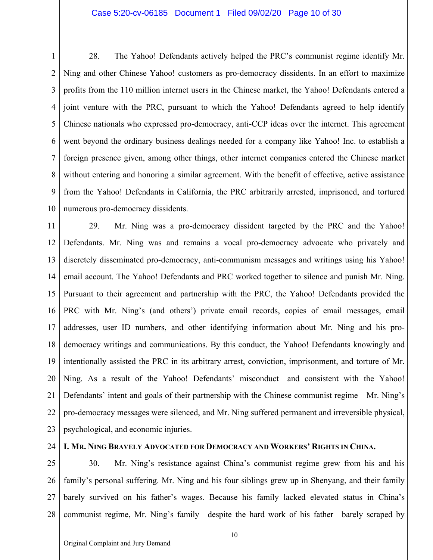## Case 5:20-cv-06185 Document 1 Filed 09/02/20 Page 10 of 30

1 2 3 4 5 6 7 8 9 10 28. The Yahoo! Defendants actively helped the PRC's communist regime identify Mr. Ning and other Chinese Yahoo! customers as pro-democracy dissidents. In an effort to maximize profits from the 110 million internet users in the Chinese market, the Yahoo! Defendants entered a joint venture with the PRC, pursuant to which the Yahoo! Defendants agreed to help identify Chinese nationals who expressed pro-democracy, anti-CCP ideas over the internet. This agreement went beyond the ordinary business dealings needed for a company like Yahoo! Inc. to establish a foreign presence given, among other things, other internet companies entered the Chinese market without entering and honoring a similar agreement. With the benefit of effective, active assistance from the Yahoo! Defendants in California, the PRC arbitrarily arrested, imprisoned, and tortured numerous pro-democracy dissidents.

11 12 13 14 15 16 17 18 19 20 21 22 23 29. Mr. Ning was a pro-democracy dissident targeted by the PRC and the Yahoo! Defendants. Mr. Ning was and remains a vocal pro-democracy advocate who privately and discretely disseminated pro-democracy, anti-communism messages and writings using his Yahoo! email account. The Yahoo! Defendants and PRC worked together to silence and punish Mr. Ning. Pursuant to their agreement and partnership with the PRC, the Yahoo! Defendants provided the PRC with Mr. Ning's (and others') private email records, copies of email messages, email addresses, user ID numbers, and other identifying information about Mr. Ning and his prodemocracy writings and communications. By this conduct, the Yahoo! Defendants knowingly and intentionally assisted the PRC in its arbitrary arrest, conviction, imprisonment, and torture of Mr. Ning. As a result of the Yahoo! Defendants' misconduct—and consistent with the Yahoo! Defendants' intent and goals of their partnership with the Chinese communist regime—Mr. Ning's pro-democracy messages were silenced, and Mr. Ning suffered permanent and irreversible physical, psychological, and economic injuries.

24

## **I. MR. NING BRAVELY ADVOCATED FOR DEMOCRACY AND WORKERS' RIGHTS IN CHINA.**

25 26 27 28 30. Mr. Ning's resistance against China's communist regime grew from his and his family's personal suffering. Mr. Ning and his four siblings grew up in Shenyang, and their family barely survived on his father's wages. Because his family lacked elevated status in China's communist regime, Mr. Ning's family—despite the hard work of his father—barely scraped by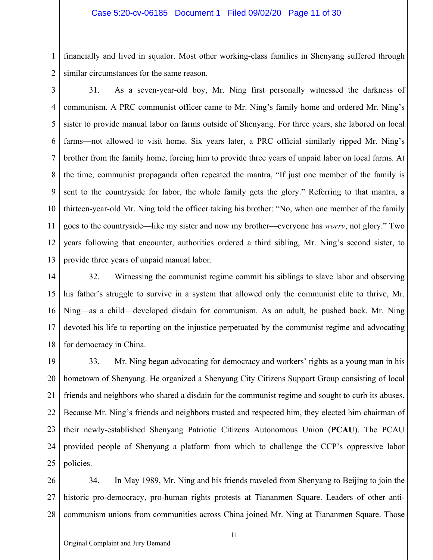1 2 financially and lived in squalor. Most other working-class families in Shenyang suffered through similar circumstances for the same reason.

3 4 5 6 7 8 9 10 11 12 13 31. As a seven-year-old boy, Mr. Ning first personally witnessed the darkness of communism. A PRC communist officer came to Mr. Ning's family home and ordered Mr. Ning's sister to provide manual labor on farms outside of Shenyang. For three years, she labored on local farms—not allowed to visit home. Six years later, a PRC official similarly ripped Mr. Ning's brother from the family home, forcing him to provide three years of unpaid labor on local farms. At the time, communist propaganda often repeated the mantra, "If just one member of the family is sent to the countryside for labor, the whole family gets the glory." Referring to that mantra, a thirteen-year-old Mr. Ning told the officer taking his brother: "No, when one member of the family goes to the countryside—like my sister and now my brother—everyone has *worry*, not glory." Two years following that encounter, authorities ordered a third sibling, Mr. Ning's second sister, to provide three years of unpaid manual labor.

14 15 16 17 18 32. Witnessing the communist regime commit his siblings to slave labor and observing his father's struggle to survive in a system that allowed only the communist elite to thrive, Mr. Ning—as a child—developed disdain for communism. As an adult, he pushed back. Mr. Ning devoted his life to reporting on the injustice perpetuated by the communist regime and advocating for democracy in China.

19 20 21 22 23 24 25 33. Mr. Ning began advocating for democracy and workers' rights as a young man in his hometown of Shenyang. He organized a Shenyang City Citizens Support Group consisting of local friends and neighbors who shared a disdain for the communist regime and sought to curb its abuses. Because Mr. Ning's friends and neighbors trusted and respected him, they elected him chairman of their newly-established Shenyang Patriotic Citizens Autonomous Union (**PCAU**). The PCAU provided people of Shenyang a platform from which to challenge the CCP's oppressive labor policies.

26 27 28 34. In May 1989, Mr. Ning and his friends traveled from Shenyang to Beijing to join the historic pro-democracy, pro-human rights protests at Tiananmen Square. Leaders of other anticommunism unions from communities across China joined Mr. Ning at Tiananmen Square. Those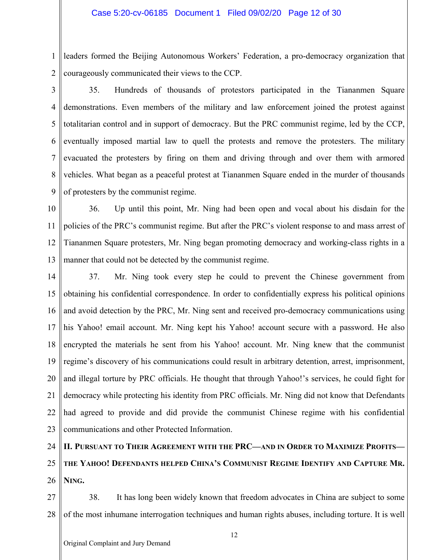1 2 leaders formed the Beijing Autonomous Workers' Federation, a pro-democracy organization that courageously communicated their views to the CCP.

3 4 5 6 7 8 9 35. Hundreds of thousands of protestors participated in the Tiananmen Square demonstrations. Even members of the military and law enforcement joined the protest against totalitarian control and in support of democracy. But the PRC communist regime, led by the CCP, eventually imposed martial law to quell the protests and remove the protesters. The military evacuated the protesters by firing on them and driving through and over them with armored vehicles. What began as a peaceful protest at Tiananmen Square ended in the murder of thousands of protesters by the communist regime.

10 11 12 13 36. Up until this point, Mr. Ning had been open and vocal about his disdain for the policies of the PRC's communist regime. But after the PRC's violent response to and mass arrest of Tiananmen Square protesters, Mr. Ning began promoting democracy and working-class rights in a manner that could not be detected by the communist regime.

14 15 16 17 18 19 20 21 22 23 37. Mr. Ning took every step he could to prevent the Chinese government from obtaining his confidential correspondence. In order to confidentially express his political opinions and avoid detection by the PRC, Mr. Ning sent and received pro-democracy communications using his Yahoo! email account. Mr. Ning kept his Yahoo! account secure with a password. He also encrypted the materials he sent from his Yahoo! account. Mr. Ning knew that the communist regime's discovery of his communications could result in arbitrary detention, arrest, imprisonment, and illegal torture by PRC officials. He thought that through Yahoo!'s services, he could fight for democracy while protecting his identity from PRC officials. Mr. Ning did not know that Defendants had agreed to provide and did provide the communist Chinese regime with his confidential communications and other Protected Information.

## 24 25 **II. PURSUANT TO THEIR AGREEMENT WITH THE PRC—AND IN ORDER TO MAXIMIZE PROFITS— THE YAHOO! DEFENDANTS HELPED CHINA'S COMMUNIST REGIME IDENTIFY AND CAPTURE MR.**

26 **NING.** 

27 28 38. It has long been widely known that freedom advocates in China are subject to some of the most inhumane interrogation techniques and human rights abuses, including torture. It is well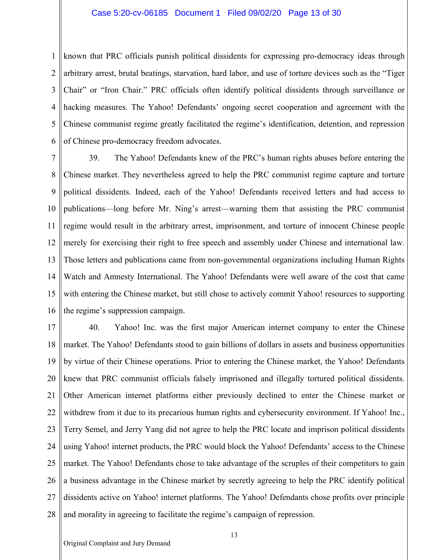## Case 5:20-cv-06185 Document 1 Filed 09/02/20 Page 13 of 30

1 2 3 4 5 6 known that PRC officials punish political dissidents for expressing pro-democracy ideas through arbitrary arrest, brutal beatings, starvation, hard labor, and use of torture devices such as the "Tiger Chair" or "Iron Chair." PRC officials often identify political dissidents through surveillance or hacking measures. The Yahoo! Defendants' ongoing secret cooperation and agreement with the Chinese communist regime greatly facilitated the regime's identification, detention, and repression of Chinese pro-democracy freedom advocates.

7 8 9 10 11 12 13 14 15 16 39. The Yahoo! Defendants knew of the PRC's human rights abuses before entering the Chinese market. They nevertheless agreed to help the PRC communist regime capture and torture political dissidents. Indeed, each of the Yahoo! Defendants received letters and had access to publications—long before Mr. Ning's arrest—warning them that assisting the PRC communist regime would result in the arbitrary arrest, imprisonment, and torture of innocent Chinese people merely for exercising their right to free speech and assembly under Chinese and international law. Those letters and publications came from non-governmental organizations including Human Rights Watch and Amnesty International. The Yahoo! Defendants were well aware of the cost that came with entering the Chinese market, but still chose to actively commit Yahoo! resources to supporting the regime's suppression campaign.

17 18 19 20 21 22 23 24 25 26 27 28 40. Yahoo! Inc. was the first major American internet company to enter the Chinese market. The Yahoo! Defendants stood to gain billions of dollars in assets and business opportunities by virtue of their Chinese operations. Prior to entering the Chinese market, the Yahoo! Defendants knew that PRC communist officials falsely imprisoned and illegally tortured political dissidents. Other American internet platforms either previously declined to enter the Chinese market or withdrew from it due to its precarious human rights and cybersecurity environment. If Yahoo! Inc., Terry Semel, and Jerry Yang did not agree to help the PRC locate and imprison political dissidents using Yahoo! internet products, the PRC would block the Yahoo! Defendants' access to the Chinese market. The Yahoo! Defendants chose to take advantage of the scruples of their competitors to gain a business advantage in the Chinese market by secretly agreeing to help the PRC identify political dissidents active on Yahoo! internet platforms. The Yahoo! Defendants chose profits over principle and morality in agreeing to facilitate the regime's campaign of repression.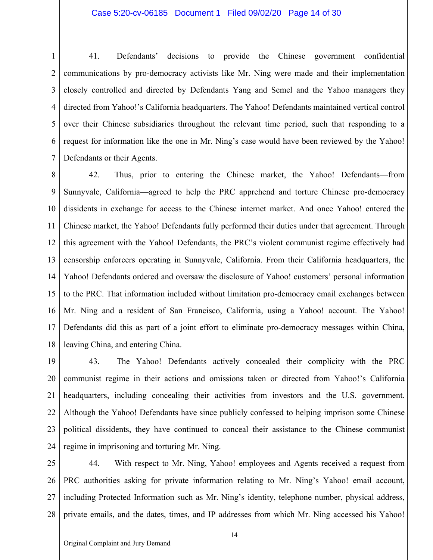## Case 5:20-cv-06185 Document 1 Filed 09/02/20 Page 14 of 30

1 2 3 4 5 6 7 41. Defendants' decisions to provide the Chinese government confidential communications by pro-democracy activists like Mr. Ning were made and their implementation closely controlled and directed by Defendants Yang and Semel and the Yahoo managers they directed from Yahoo!'s California headquarters. The Yahoo! Defendants maintained vertical control over their Chinese subsidiaries throughout the relevant time period, such that responding to a request for information like the one in Mr. Ning's case would have been reviewed by the Yahoo! Defendants or their Agents.

8 9 10 11 12 13 14 15 16 17 18 42. Thus, prior to entering the Chinese market, the Yahoo! Defendants—from Sunnyvale, California—agreed to help the PRC apprehend and torture Chinese pro-democracy dissidents in exchange for access to the Chinese internet market. And once Yahoo! entered the Chinese market, the Yahoo! Defendants fully performed their duties under that agreement. Through this agreement with the Yahoo! Defendants, the PRC's violent communist regime effectively had censorship enforcers operating in Sunnyvale, California. From their California headquarters, the Yahoo! Defendants ordered and oversaw the disclosure of Yahoo! customers' personal information to the PRC. That information included without limitation pro-democracy email exchanges between Mr. Ning and a resident of San Francisco, California, using a Yahoo! account. The Yahoo! Defendants did this as part of a joint effort to eliminate pro-democracy messages within China, leaving China, and entering China.

19 20 21 22 23 24 43. The Yahoo! Defendants actively concealed their complicity with the PRC communist regime in their actions and omissions taken or directed from Yahoo!'s California headquarters, including concealing their activities from investors and the U.S. government. Although the Yahoo! Defendants have since publicly confessed to helping imprison some Chinese political dissidents, they have continued to conceal their assistance to the Chinese communist regime in imprisoning and torturing Mr. Ning.

25 26 27 28 44. With respect to Mr. Ning, Yahoo! employees and Agents received a request from PRC authorities asking for private information relating to Mr. Ning's Yahoo! email account, including Protected Information such as Mr. Ning's identity, telephone number, physical address, private emails, and the dates, times, and IP addresses from which Mr. Ning accessed his Yahoo!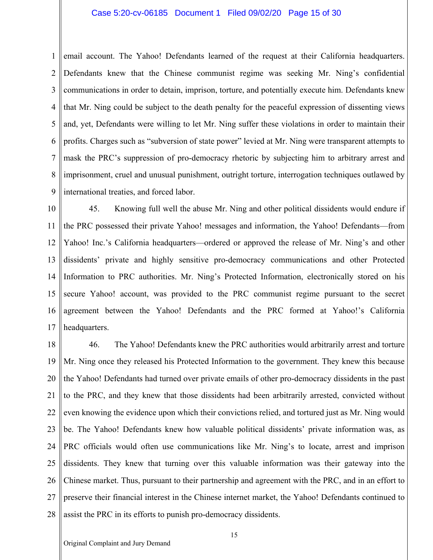## Case 5:20-cv-06185 Document 1 Filed 09/02/20 Page 15 of 30

1 2 3 4 5 6 7 8 9 email account. The Yahoo! Defendants learned of the request at their California headquarters. Defendants knew that the Chinese communist regime was seeking Mr. Ning's confidential communications in order to detain, imprison, torture, and potentially execute him. Defendants knew that Mr. Ning could be subject to the death penalty for the peaceful expression of dissenting views and, yet, Defendants were willing to let Mr. Ning suffer these violations in order to maintain their profits. Charges such as "subversion of state power" levied at Mr. Ning were transparent attempts to mask the PRC's suppression of pro-democracy rhetoric by subjecting him to arbitrary arrest and imprisonment, cruel and unusual punishment, outright torture, interrogation techniques outlawed by international treaties, and forced labor.

10 11 12 13 14 15 16 17 45. Knowing full well the abuse Mr. Ning and other political dissidents would endure if the PRC possessed their private Yahoo! messages and information, the Yahoo! Defendants—from Yahoo! Inc.'s California headquarters—ordered or approved the release of Mr. Ning's and other dissidents' private and highly sensitive pro-democracy communications and other Protected Information to PRC authorities. Mr. Ning's Protected Information, electronically stored on his secure Yahoo! account, was provided to the PRC communist regime pursuant to the secret agreement between the Yahoo! Defendants and the PRC formed at Yahoo!'s California headquarters.

18 19 20 21 22 23 24 25 26 27 28 46. The Yahoo! Defendants knew the PRC authorities would arbitrarily arrest and torture Mr. Ning once they released his Protected Information to the government. They knew this because the Yahoo! Defendants had turned over private emails of other pro-democracy dissidents in the past to the PRC, and they knew that those dissidents had been arbitrarily arrested, convicted without even knowing the evidence upon which their convictions relied, and tortured just as Mr. Ning would be. The Yahoo! Defendants knew how valuable political dissidents' private information was, as PRC officials would often use communications like Mr. Ning's to locate, arrest and imprison dissidents. They knew that turning over this valuable information was their gateway into the Chinese market. Thus, pursuant to their partnership and agreement with the PRC, and in an effort to preserve their financial interest in the Chinese internet market, the Yahoo! Defendants continued to assist the PRC in its efforts to punish pro-democracy dissidents.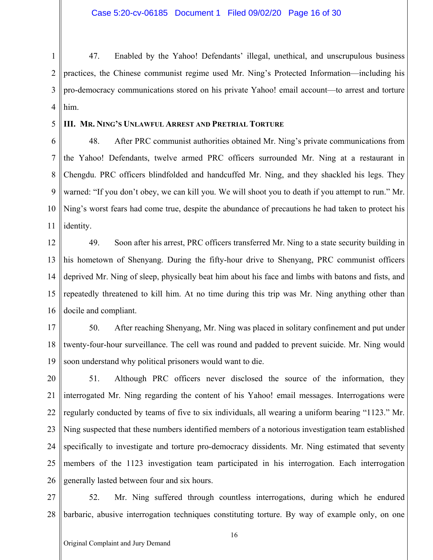Case 5:20-cv-06185 Document 1 Filed 09/02/20 Page 16 of 30

1 2 3 4 47. Enabled by the Yahoo! Defendants' illegal, unethical, and unscrupulous business practices, the Chinese communist regime used Mr. Ning's Protected Information—including his pro-democracy communications stored on his private Yahoo! email account—to arrest and torture him.

#### 5 **III. MR. NING'S UNLAWFUL ARREST AND PRETRIAL TORTURE**

6 7 8 9 10 11 48. After PRC communist authorities obtained Mr. Ning's private communications from the Yahoo! Defendants, twelve armed PRC officers surrounded Mr. Ning at a restaurant in Chengdu. PRC officers blindfolded and handcuffed Mr. Ning, and they shackled his legs. They warned: "If you don't obey, we can kill you. We will shoot you to death if you attempt to run." Mr. Ning's worst fears had come true, despite the abundance of precautions he had taken to protect his identity.

12 13 14 15 16 49. Soon after his arrest, PRC officers transferred Mr. Ning to a state security building in his hometown of Shenyang. During the fifty-hour drive to Shenyang, PRC communist officers deprived Mr. Ning of sleep, physically beat him about his face and limbs with batons and fists, and repeatedly threatened to kill him. At no time during this trip was Mr. Ning anything other than docile and compliant.

17 18 19 50. After reaching Shenyang, Mr. Ning was placed in solitary confinement and put under twenty-four-hour surveillance. The cell was round and padded to prevent suicide. Mr. Ning would soon understand why political prisoners would want to die.

20 21 22 23 24 25 26 51. Although PRC officers never disclosed the source of the information, they interrogated Mr. Ning regarding the content of his Yahoo! email messages. Interrogations were regularly conducted by teams of five to six individuals, all wearing a uniform bearing "1123." Mr. Ning suspected that these numbers identified members of a notorious investigation team established specifically to investigate and torture pro-democracy dissidents. Mr. Ning estimated that seventy members of the 1123 investigation team participated in his interrogation. Each interrogation generally lasted between four and six hours.

27 28 52. Mr. Ning suffered through countless interrogations, during which he endured barbaric, abusive interrogation techniques constituting torture. By way of example only, on one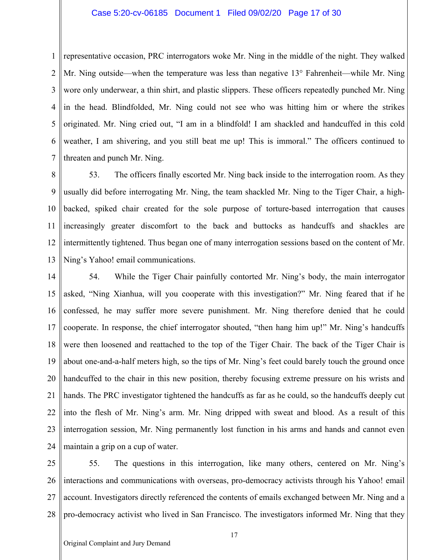## Case 5:20-cv-06185 Document 1 Filed 09/02/20 Page 17 of 30

1 2 3 4 5 6 7 representative occasion, PRC interrogators woke Mr. Ning in the middle of the night. They walked Mr. Ning outside—when the temperature was less than negative 13° Fahrenheit—while Mr. Ning wore only underwear, a thin shirt, and plastic slippers. These officers repeatedly punched Mr. Ning in the head. Blindfolded, Mr. Ning could not see who was hitting him or where the strikes originated. Mr. Ning cried out, "I am in a blindfold! I am shackled and handcuffed in this cold weather, I am shivering, and you still beat me up! This is immoral." The officers continued to threaten and punch Mr. Ning.

8 9 10 11 12 13 53. The officers finally escorted Mr. Ning back inside to the interrogation room. As they usually did before interrogating Mr. Ning, the team shackled Mr. Ning to the Tiger Chair, a highbacked, spiked chair created for the sole purpose of torture-based interrogation that causes increasingly greater discomfort to the back and buttocks as handcuffs and shackles are intermittently tightened. Thus began one of many interrogation sessions based on the content of Mr. Ning's Yahoo! email communications.

14 15 16 17 18 19 20 21 22 23 24 54. While the Tiger Chair painfully contorted Mr. Ning's body, the main interrogator asked, "Ning Xianhua, will you cooperate with this investigation?" Mr. Ning feared that if he confessed, he may suffer more severe punishment. Mr. Ning therefore denied that he could cooperate. In response, the chief interrogator shouted, "then hang him up!" Mr. Ning's handcuffs were then loosened and reattached to the top of the Tiger Chair. The back of the Tiger Chair is about one-and-a-half meters high, so the tips of Mr. Ning's feet could barely touch the ground once handcuffed to the chair in this new position, thereby focusing extreme pressure on his wrists and hands. The PRC investigator tightened the handcuffs as far as he could, so the handcuffs deeply cut into the flesh of Mr. Ning's arm. Mr. Ning dripped with sweat and blood. As a result of this interrogation session, Mr. Ning permanently lost function in his arms and hands and cannot even maintain a grip on a cup of water.

25 26 27 28 55. The questions in this interrogation, like many others, centered on Mr. Ning's interactions and communications with overseas, pro-democracy activists through his Yahoo! email account. Investigators directly referenced the contents of emails exchanged between Mr. Ning and a pro-democracy activist who lived in San Francisco. The investigators informed Mr. Ning that they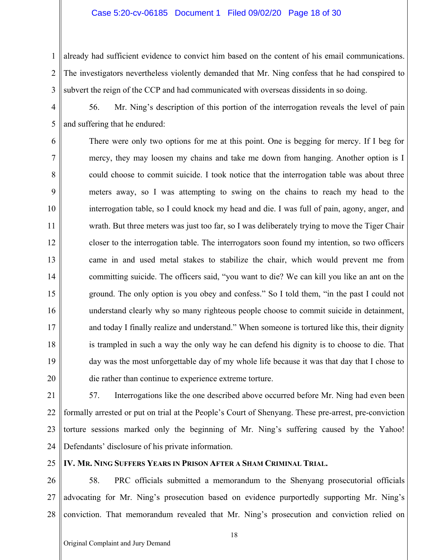## Case 5:20-cv-06185 Document 1 Filed 09/02/20 Page 18 of 30

1 2 3 already had sufficient evidence to convict him based on the content of his email communications. The investigators nevertheless violently demanded that Mr. Ning confess that he had conspired to subvert the reign of the CCP and had communicated with overseas dissidents in so doing.

4 5 56. Mr. Ning's description of this portion of the interrogation reveals the level of pain and suffering that he endured:

6 7 8 9 10 11 12 13 14 15 16 17 18 19 20 There were only two options for me at this point. One is begging for mercy. If I beg for mercy, they may loosen my chains and take me down from hanging. Another option is I could choose to commit suicide. I took notice that the interrogation table was about three meters away, so I was attempting to swing on the chains to reach my head to the interrogation table, so I could knock my head and die. I was full of pain, agony, anger, and wrath. But three meters was just too far, so I was deliberately trying to move the Tiger Chair closer to the interrogation table. The interrogators soon found my intention, so two officers came in and used metal stakes to stabilize the chair, which would prevent me from committing suicide. The officers said, "you want to die? We can kill you like an ant on the ground. The only option is you obey and confess." So I told them, "in the past I could not understand clearly why so many righteous people choose to commit suicide in detainment, and today I finally realize and understand." When someone is tortured like this, their dignity is trampled in such a way the only way he can defend his dignity is to choose to die. That day was the most unforgettable day of my whole life because it was that day that I chose to die rather than continue to experience extreme torture.

21 22 23 24 57. Interrogations like the one described above occurred before Mr. Ning had even been formally arrested or put on trial at the People's Court of Shenyang. These pre-arrest, pre-conviction torture sessions marked only the beginning of Mr. Ning's suffering caused by the Yahoo! Defendants' disclosure of his private information.

25

# **IV. MR. NING SUFFERS YEARS IN PRISON AFTER A SHAM CRIMINAL TRIAL.**

26 27 28 58. PRC officials submitted a memorandum to the Shenyang prosecutorial officials advocating for Mr. Ning's prosecution based on evidence purportedly supporting Mr. Ning's conviction. That memorandum revealed that Mr. Ning's prosecution and conviction relied on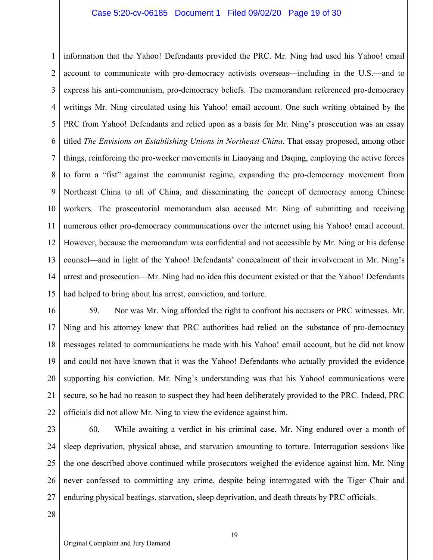## Case 5:20-cv-06185 Document 1 Filed 09/02/20 Page 19 of 30

1 2 3 4 5 6 7 8 9 10 11 12 13 14 15 information that the Yahoo! Defendants provided the PRC. Mr. Ning had used his Yahoo! email account to communicate with pro-democracy activists overseas—including in the U.S.—and to express his anti-communism, pro-democracy beliefs. The memorandum referenced pro-democracy writings Mr. Ning circulated using his Yahoo! email account. One such writing obtained by the PRC from Yahoo! Defendants and relied upon as a basis for Mr. Ning's prosecution was an essay titled *The Envisions on Establishing Unions in Northeast China*. That essay proposed, among other things, reinforcing the pro-worker movements in Liaoyang and Daqing, employing the active forces to form a "fist" against the communist regime, expanding the pro-democracy movement from Northeast China to all of China, and disseminating the concept of democracy among Chinese workers. The prosecutorial memorandum also accused Mr. Ning of submitting and receiving numerous other pro-democracy communications over the internet using his Yahoo! email account. However, because the memorandum was confidential and not accessible by Mr. Ning or his defense counsel—and in light of the Yahoo! Defendants' concealment of their involvement in Mr. Ning's arrest and prosecution—Mr. Ning had no idea this document existed or that the Yahoo! Defendants had helped to bring about his arrest, conviction, and torture.

16 17 18 19 20 21 22 59. Nor was Mr. Ning afforded the right to confront his accusers or PRC witnesses. Mr. Ning and his attorney knew that PRC authorities had relied on the substance of pro-democracy messages related to communications he made with his Yahoo! email account, but he did not know and could not have known that it was the Yahoo! Defendants who actually provided the evidence supporting his conviction. Mr. Ning's understanding was that his Yahoo! communications were secure, so he had no reason to suspect they had been deliberately provided to the PRC. Indeed, PRC officials did not allow Mr. Ning to view the evidence against him.

23 24 25 26 27 60. While awaiting a verdict in his criminal case, Mr. Ning endured over a month of sleep deprivation, physical abuse, and starvation amounting to torture. Interrogation sessions like the one described above continued while prosecutors weighed the evidence against him. Mr. Ning never confessed to committing any crime, despite being interrogated with the Tiger Chair and enduring physical beatings, starvation, sleep deprivation, and death threats by PRC officials.

28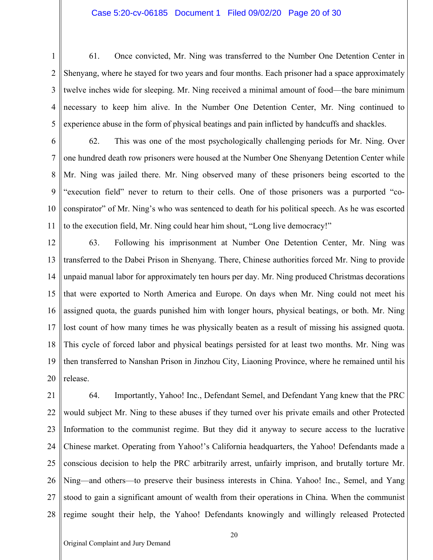## Case 5:20-cv-06185 Document 1 Filed 09/02/20 Page 20 of 30

1 2 3 4 5 61. Once convicted, Mr. Ning was transferred to the Number One Detention Center in Shenyang, where he stayed for two years and four months. Each prisoner had a space approximately twelve inches wide for sleeping. Mr. Ning received a minimal amount of food—the bare minimum necessary to keep him alive. In the Number One Detention Center, Mr. Ning continued to experience abuse in the form of physical beatings and pain inflicted by handcuffs and shackles.

6 7 8 9 10 11 62. This was one of the most psychologically challenging periods for Mr. Ning. Over one hundred death row prisoners were housed at the Number One Shenyang Detention Center while Mr. Ning was jailed there. Mr. Ning observed many of these prisoners being escorted to the "execution field" never to return to their cells. One of those prisoners was a purported "coconspirator" of Mr. Ning's who was sentenced to death for his political speech. As he was escorted to the execution field, Mr. Ning could hear him shout, "Long live democracy!"

12 13 14 15 16 17 18 19 20 63. Following his imprisonment at Number One Detention Center, Mr. Ning was transferred to the Dabei Prison in Shenyang. There, Chinese authorities forced Mr. Ning to provide unpaid manual labor for approximately ten hours per day. Mr. Ning produced Christmas decorations that were exported to North America and Europe. On days when Mr. Ning could not meet his assigned quota, the guards punished him with longer hours, physical beatings, or both. Mr. Ning lost count of how many times he was physically beaten as a result of missing his assigned quota. This cycle of forced labor and physical beatings persisted for at least two months. Mr. Ning was then transferred to Nanshan Prison in Jinzhou City, Liaoning Province, where he remained until his release.

21 22 23 24 25 26 27 28 64. Importantly, Yahoo! Inc., Defendant Semel, and Defendant Yang knew that the PRC would subject Mr. Ning to these abuses if they turned over his private emails and other Protected Information to the communist regime. But they did it anyway to secure access to the lucrative Chinese market. Operating from Yahoo!'s California headquarters, the Yahoo! Defendants made a conscious decision to help the PRC arbitrarily arrest, unfairly imprison, and brutally torture Mr. Ning—and others—to preserve their business interests in China. Yahoo! Inc., Semel, and Yang stood to gain a significant amount of wealth from their operations in China. When the communist regime sought their help, the Yahoo! Defendants knowingly and willingly released Protected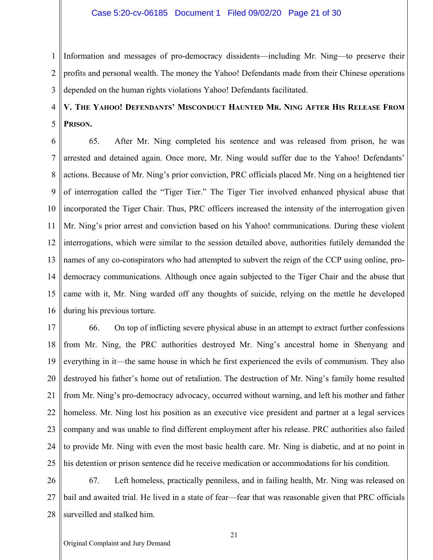1 2 3 Information and messages of pro-democracy dissidents—including Mr. Ning—to preserve their profits and personal wealth. The money the Yahoo! Defendants made from their Chinese operations depended on the human rights violations Yahoo! Defendants facilitated.

### 4 5 **V. THE YAHOO! DEFENDANTS' MISCONDUCT HAUNTED MR. NING AFTER HIS RELEASE FROM PRISON.**

6 7 8 9 10 11 12 13 14 15 16 65. After Mr. Ning completed his sentence and was released from prison, he was arrested and detained again. Once more, Mr. Ning would suffer due to the Yahoo! Defendants' actions. Because of Mr. Ning's prior conviction, PRC officials placed Mr. Ning on a heightened tier of interrogation called the "Tiger Tier." The Tiger Tier involved enhanced physical abuse that incorporated the Tiger Chair. Thus, PRC officers increased the intensity of the interrogation given Mr. Ning's prior arrest and conviction based on his Yahoo! communications. During these violent interrogations, which were similar to the session detailed above, authorities futilely demanded the names of any co-conspirators who had attempted to subvert the reign of the CCP using online, prodemocracy communications. Although once again subjected to the Tiger Chair and the abuse that came with it, Mr. Ning warded off any thoughts of suicide, relying on the mettle he developed during his previous torture.

17 18 19 20 21 22 23 24 25 66. On top of inflicting severe physical abuse in an attempt to extract further confessions from Mr. Ning, the PRC authorities destroyed Mr. Ning's ancestral home in Shenyang and everything in it—the same house in which he first experienced the evils of communism. They also destroyed his father's home out of retaliation. The destruction of Mr. Ning's family home resulted from Mr. Ning's pro-democracy advocacy, occurred without warning, and left his mother and father homeless. Mr. Ning lost his position as an executive vice president and partner at a legal services company and was unable to find different employment after his release. PRC authorities also failed to provide Mr. Ning with even the most basic health care. Mr. Ning is diabetic, and at no point in his detention or prison sentence did he receive medication or accommodations for his condition.

26 27 28 67. Left homeless, practically penniless, and in failing health, Mr. Ning was released on bail and awaited trial. He lived in a state of fear—fear that was reasonable given that PRC officials surveilled and stalked him.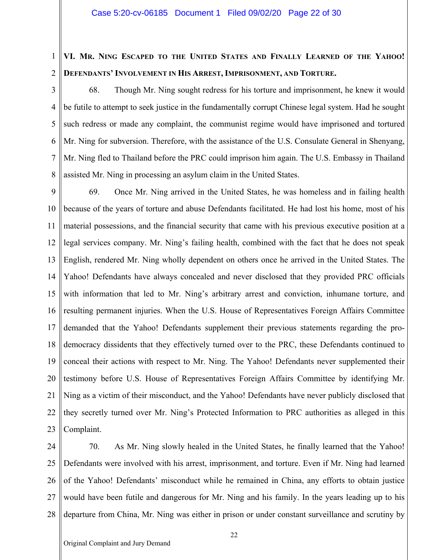### 1 2 **VI. MR. NING ESCAPED TO THE UNITED STATES AND FINALLY LEARNED OF THE YAHOO! DEFENDANTS' INVOLVEMENT IN HIS ARREST, IMPRISONMENT, AND TORTURE.**

3 4 5 6 7 8 68. Though Mr. Ning sought redress for his torture and imprisonment, he knew it would be futile to attempt to seek justice in the fundamentally corrupt Chinese legal system. Had he sought such redress or made any complaint, the communist regime would have imprisoned and tortured Mr. Ning for subversion. Therefore, with the assistance of the U.S. Consulate General in Shenyang, Mr. Ning fled to Thailand before the PRC could imprison him again. The U.S. Embassy in Thailand assisted Mr. Ning in processing an asylum claim in the United States.

9 10 11 12 13 14 15 16 17 18 19 20 21 22 23 69. Once Mr. Ning arrived in the United States, he was homeless and in failing health because of the years of torture and abuse Defendants facilitated. He had lost his home, most of his material possessions, and the financial security that came with his previous executive position at a legal services company. Mr. Ning's failing health, combined with the fact that he does not speak English, rendered Mr. Ning wholly dependent on others once he arrived in the United States. The Yahoo! Defendants have always concealed and never disclosed that they provided PRC officials with information that led to Mr. Ning's arbitrary arrest and conviction, inhumane torture, and resulting permanent injuries. When the U.S. House of Representatives Foreign Affairs Committee demanded that the Yahoo! Defendants supplement their previous statements regarding the prodemocracy dissidents that they effectively turned over to the PRC, these Defendants continued to conceal their actions with respect to Mr. Ning. The Yahoo! Defendants never supplemented their testimony before U.S. House of Representatives Foreign Affairs Committee by identifying Mr. Ning as a victim of their misconduct, and the Yahoo! Defendants have never publicly disclosed that they secretly turned over Mr. Ning's Protected Information to PRC authorities as alleged in this Complaint.

24 25 26 27 28 70. As Mr. Ning slowly healed in the United States, he finally learned that the Yahoo! Defendants were involved with his arrest, imprisonment, and torture. Even if Mr. Ning had learned of the Yahoo! Defendants' misconduct while he remained in China, any efforts to obtain justice would have been futile and dangerous for Mr. Ning and his family. In the years leading up to his departure from China, Mr. Ning was either in prison or under constant surveillance and scrutiny by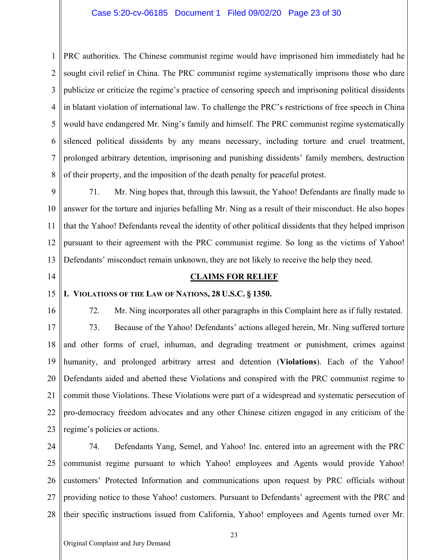## Case 5:20-cv-06185 Document 1 Filed 09/02/20 Page 23 of 30

1 2 3 4 5 6 7 8 PRC authorities. The Chinese communist regime would have imprisoned him immediately had he sought civil relief in China. The PRC communist regime systematically imprisons those who dare publicize or criticize the regime's practice of censoring speech and imprisoning political dissidents in blatant violation of international law. To challenge the PRC's restrictions of free speech in China would have endangered Mr. Ning's family and himself. The PRC communist regime systematically silenced political dissidents by any means necessary, including torture and cruel treatment, prolonged arbitrary detention, imprisoning and punishing dissidents' family members, destruction of their property, and the imposition of the death penalty for peaceful protest.

9 10 11 12 13 71. Mr. Ning hopes that, through this lawsuit, the Yahoo! Defendants are finally made to answer for the torture and injuries befalling Mr. Ning as a result of their misconduct. He also hopes that the Yahoo! Defendants reveal the identity of other political dissidents that they helped imprison pursuant to their agreement with the PRC communist regime. So long as the victims of Yahoo! Defendants' misconduct remain unknown, they are not likely to receive the help they need.

14

## **CLAIMS FOR RELIEF**

#### 15 **I. VIOLATIONS OF THE LAW OF NATIONS, 28 U.S.C. § 1350.**

16 17 18 19 20 21 22 23 72. Mr. Ning incorporates all other paragraphs in this Complaint here as if fully restated. 73. Because of the Yahoo! Defendants' actions alleged herein, Mr. Ning suffered torture and other forms of cruel, inhuman, and degrading treatment or punishment, crimes against humanity, and prolonged arbitrary arrest and detention (**Violations**). Each of the Yahoo! Defendants aided and abetted these Violations and conspired with the PRC communist regime to commit those Violations. These Violations were part of a widespread and systematic persecution of pro-democracy freedom advocates and any other Chinese citizen engaged in any criticism of the regime's policies or actions.

24 25 26 27 28 74. Defendants Yang, Semel, and Yahoo! Inc. entered into an agreement with the PRC communist regime pursuant to which Yahoo! employees and Agents would provide Yahoo! customers' Protected Information and communications upon request by PRC officials without providing notice to those Yahoo! customers. Pursuant to Defendants' agreement with the PRC and their specific instructions issued from California, Yahoo! employees and Agents turned over Mr.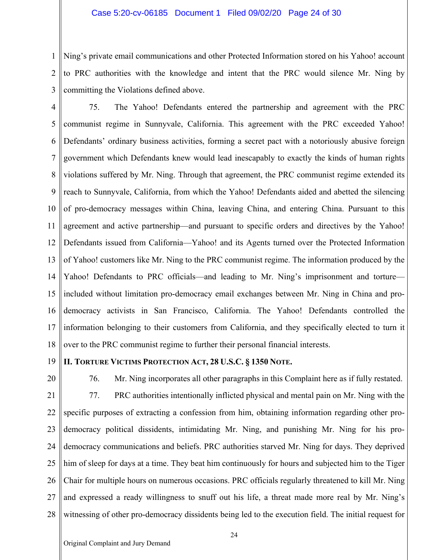## Case 5:20-cv-06185 Document 1 Filed 09/02/20 Page 24 of 30

1 2 3 Ning's private email communications and other Protected Information stored on his Yahoo! account to PRC authorities with the knowledge and intent that the PRC would silence Mr. Ning by committing the Violations defined above.

- 4 5 6 7 8 9 10 11 12 13 14 15 16 17 18 75. The Yahoo! Defendants entered the partnership and agreement with the PRC communist regime in Sunnyvale, California. This agreement with the PRC exceeded Yahoo! Defendants' ordinary business activities, forming a secret pact with a notoriously abusive foreign government which Defendants knew would lead inescapably to exactly the kinds of human rights violations suffered by Mr. Ning. Through that agreement, the PRC communist regime extended its reach to Sunnyvale, California, from which the Yahoo! Defendants aided and abetted the silencing of pro-democracy messages within China, leaving China, and entering China. Pursuant to this agreement and active partnership—and pursuant to specific orders and directives by the Yahoo! Defendants issued from California—Yahoo! and its Agents turned over the Protected Information of Yahoo! customers like Mr. Ning to the PRC communist regime. The information produced by the Yahoo! Defendants to PRC officials—and leading to Mr. Ning's imprisonment and torture included without limitation pro-democracy email exchanges between Mr. Ning in China and prodemocracy activists in San Francisco, California. The Yahoo! Defendants controlled the information belonging to their customers from California, and they specifically elected to turn it over to the PRC communist regime to further their personal financial interests.
- 19

## **II. TORTURE VICTIMS PROTECTION ACT, 28 U.S.C. § 1350 NOTE.**

20 21 22 23 24 25 26 27 28 76. Mr. Ning incorporates all other paragraphs in this Complaint here as if fully restated. 77. PRC authorities intentionally inflicted physical and mental pain on Mr. Ning with the specific purposes of extracting a confession from him, obtaining information regarding other prodemocracy political dissidents, intimidating Mr. Ning, and punishing Mr. Ning for his prodemocracy communications and beliefs. PRC authorities starved Mr. Ning for days. They deprived him of sleep for days at a time. They beat him continuously for hours and subjected him to the Tiger Chair for multiple hours on numerous occasions. PRC officials regularly threatened to kill Mr. Ning and expressed a ready willingness to snuff out his life, a threat made more real by Mr. Ning's witnessing of other pro-democracy dissidents being led to the execution field. The initial request for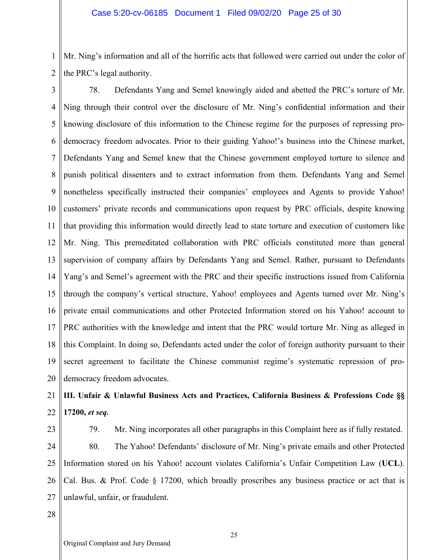1 2 Mr. Ning's information and all of the horrific acts that followed were carried out under the color of the PRC's legal authority.

3 4 5 6 7 8 9 10 11 12 13 14 15 16 17 18 19 20 78. Defendants Yang and Semel knowingly aided and abetted the PRC's torture of Mr. Ning through their control over the disclosure of Mr. Ning's confidential information and their knowing disclosure of this information to the Chinese regime for the purposes of repressing prodemocracy freedom advocates. Prior to their guiding Yahoo!'s business into the Chinese market, Defendants Yang and Semel knew that the Chinese government employed torture to silence and punish political dissenters and to extract information from them. Defendants Yang and Semel nonetheless specifically instructed their companies' employees and Agents to provide Yahoo! customers' private records and communications upon request by PRC officials, despite knowing that providing this information would directly lead to state torture and execution of customers like Mr. Ning. This premeditated collaboration with PRC officials constituted more than general supervision of company affairs by Defendants Yang and Semel. Rather, pursuant to Defendants Yang's and Semel's agreement with the PRC and their specific instructions issued from California through the company's vertical structure, Yahoo! employees and Agents turned over Mr. Ning's private email communications and other Protected Information stored on his Yahoo! account to PRC authorities with the knowledge and intent that the PRC would torture Mr. Ning as alleged in this Complaint. In doing so, Defendants acted under the color of foreign authority pursuant to their secret agreement to facilitate the Chinese communist regime's systematic repression of prodemocracy freedom advocates.

### 21 22 **III. Unfair & Unlawful Business Acts and Practices, California Business & Professions Code §§ 17200,** *et seq.*

23

24 25 26 27 79. Mr. Ning incorporates all other paragraphs in this Complaint here as if fully restated. 80. The Yahoo! Defendants' disclosure of Mr. Ning's private emails and other Protected Information stored on his Yahoo! account violates California's Unfair Competition Law (**UCL**). Cal. Bus. & Prof. Code § 17200, which broadly proscribes any business practice or act that is unlawful, unfair, or fraudulent.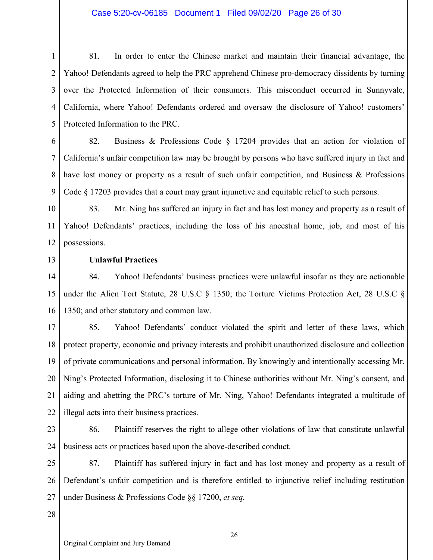## Case 5:20-cv-06185 Document 1 Filed 09/02/20 Page 26 of 30

1 2 3 4 5 81. In order to enter the Chinese market and maintain their financial advantage, the Yahoo! Defendants agreed to help the PRC apprehend Chinese pro-democracy dissidents by turning over the Protected Information of their consumers. This misconduct occurred in Sunnyvale, California, where Yahoo! Defendants ordered and oversaw the disclosure of Yahoo! customers' Protected Information to the PRC.

6 7 8 9 82. Business & Professions Code § 17204 provides that an action for violation of California's unfair competition law may be brought by persons who have suffered injury in fact and have lost money or property as a result of such unfair competition, and Business & Professions Code § 17203 provides that a court may grant injunctive and equitable relief to such persons.

10 11 12 83. Mr. Ning has suffered an injury in fact and has lost money and property as a result of Yahoo! Defendants' practices, including the loss of his ancestral home, job, and most of his possessions.

13

## **Unlawful Practices**

14 15 16 84. Yahoo! Defendants' business practices were unlawful insofar as they are actionable under the Alien Tort Statute, 28 U.S.C § 1350; the Torture Victims Protection Act, 28 U.S.C § 1350; and other statutory and common law.

17 18 19 20 21 22 85. Yahoo! Defendants' conduct violated the spirit and letter of these laws, which protect property, economic and privacy interests and prohibit unauthorized disclosure and collection of private communications and personal information. By knowingly and intentionally accessing Mr. Ning's Protected Information, disclosing it to Chinese authorities without Mr. Ning's consent, and aiding and abetting the PRC's torture of Mr. Ning, Yahoo! Defendants integrated a multitude of illegal acts into their business practices.

23

24

86. Plaintiff reserves the right to allege other violations of law that constitute unlawful business acts or practices based upon the above-described conduct.

25 26 27 87. Plaintiff has suffered injury in fact and has lost money and property as a result of Defendant's unfair competition and is therefore entitled to injunctive relief including restitution under Business & Professions Code §§ 17200, *et seq.*

28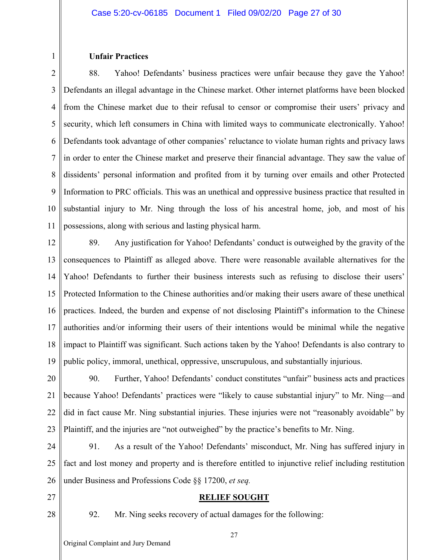## **Unfair Practices**

1

2 3 4 5 6 7 8 9 10 11 88. Yahoo! Defendants' business practices were unfair because they gave the Yahoo! Defendants an illegal advantage in the Chinese market. Other internet platforms have been blocked from the Chinese market due to their refusal to censor or compromise their users' privacy and security, which left consumers in China with limited ways to communicate electronically. Yahoo! Defendants took advantage of other companies' reluctance to violate human rights and privacy laws in order to enter the Chinese market and preserve their financial advantage. They saw the value of dissidents' personal information and profited from it by turning over emails and other Protected Information to PRC officials. This was an unethical and oppressive business practice that resulted in substantial injury to Mr. Ning through the loss of his ancestral home, job, and most of his possessions, along with serious and lasting physical harm.

12 13 14 15 16 17 18 19 89. Any justification for Yahoo! Defendants' conduct is outweighed by the gravity of the consequences to Plaintiff as alleged above. There were reasonable available alternatives for the Yahoo! Defendants to further their business interests such as refusing to disclose their users' Protected Information to the Chinese authorities and/or making their users aware of these unethical practices. Indeed, the burden and expense of not disclosing Plaintiff's information to the Chinese authorities and/or informing their users of their intentions would be minimal while the negative impact to Plaintiff was significant. Such actions taken by the Yahoo! Defendants is also contrary to public policy, immoral, unethical, oppressive, unscrupulous, and substantially injurious.

20 21 22 23 90. Further, Yahoo! Defendants' conduct constitutes "unfair" business acts and practices because Yahoo! Defendants' practices were "likely to cause substantial injury" to Mr. Ning—and did in fact cause Mr. Ning substantial injuries. These injuries were not "reasonably avoidable" by Plaintiff, and the injuries are "not outweighed" by the practice's benefits to Mr. Ning.

24 25 26 91. As a result of the Yahoo! Defendants' misconduct, Mr. Ning has suffered injury in fact and lost money and property and is therefore entitled to injunctive relief including restitution under Business and Professions Code §§ 17200, *et seq.*

- 27
- 28

92. Mr. Ning seeks recovery of actual damages for the following:

**RELIEF SOUGHT**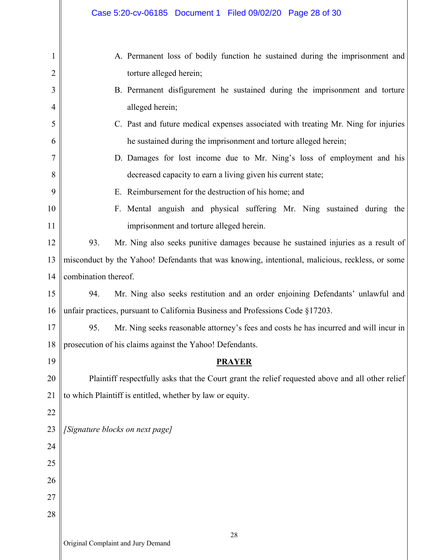|                     | Case 5:20-cv-06185 Document 1 Filed 09/02/20 Page 28 of 30                                               |  |  |  |  |  |
|---------------------|----------------------------------------------------------------------------------------------------------|--|--|--|--|--|
| 1<br>$\overline{2}$ | A. Permanent loss of bodily function he sustained during the imprisonment and<br>torture alleged herein; |  |  |  |  |  |
| 3                   | B. Permanent disfigurement he sustained during the imprisonment and torture                              |  |  |  |  |  |
| 4                   | alleged herein;                                                                                          |  |  |  |  |  |
| 5                   | C. Past and future medical expenses associated with treating Mr. Ning for injuries                       |  |  |  |  |  |
| 6                   | he sustained during the imprisonment and torture alleged herein;                                         |  |  |  |  |  |
| 7                   | D. Damages for lost income due to Mr. Ning's loss of employment and his                                  |  |  |  |  |  |
| 8                   | decreased capacity to earn a living given his current state;                                             |  |  |  |  |  |
| 9                   | E. Reimbursement for the destruction of his home; and                                                    |  |  |  |  |  |
| 10                  | F. Mental anguish and physical suffering Mr. Ning sustained during the                                   |  |  |  |  |  |
| 11                  | imprisonment and torture alleged herein.                                                                 |  |  |  |  |  |
| 12                  | 93.<br>Mr. Ning also seeks punitive damages because he sustained injuries as a result of                 |  |  |  |  |  |
| 13                  | misconduct by the Yahoo! Defendants that was knowing, intentional, malicious, reckless, or some          |  |  |  |  |  |
| 14                  | combination thereof.                                                                                     |  |  |  |  |  |
| 15                  | 94.<br>Mr. Ning also seeks restitution and an order enjoining Defendants' unlawful and                   |  |  |  |  |  |
| 16                  | unfair practices, pursuant to California Business and Professions Code §17203.                           |  |  |  |  |  |
| 17                  | Mr. Ning seeks reasonable attorney's fees and costs he has incurred and will incur in<br>95.             |  |  |  |  |  |
| 18                  | prosecution of his claims against the Yahoo! Defendants.                                                 |  |  |  |  |  |
| 19                  | <b>PRAYER</b>                                                                                            |  |  |  |  |  |
| 20                  | Plaintiff respectfully asks that the Court grant the relief requested above and all other relief         |  |  |  |  |  |
| 21                  | to which Plaintiff is entitled, whether by law or equity.                                                |  |  |  |  |  |
| 22                  |                                                                                                          |  |  |  |  |  |
| 23                  | [Signature blocks on next page]                                                                          |  |  |  |  |  |
| 24                  |                                                                                                          |  |  |  |  |  |
| 25                  |                                                                                                          |  |  |  |  |  |
| 26                  |                                                                                                          |  |  |  |  |  |
| 27                  |                                                                                                          |  |  |  |  |  |
| 28                  |                                                                                                          |  |  |  |  |  |
|                     | 28                                                                                                       |  |  |  |  |  |

 $\mathsf{I}$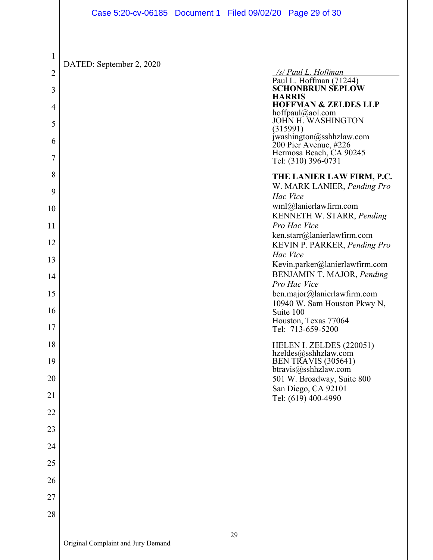|                | Case 5:20-cv-06185 Document 1 Filed 09/02/20 Page 29 of 30 |    |                                                                                |
|----------------|------------------------------------------------------------|----|--------------------------------------------------------------------------------|
|                |                                                            |    |                                                                                |
| 1              |                                                            |    |                                                                                |
| $\overline{2}$ | DATED: September 2, 2020                                   |    | /s/ Paul L. Hoffman                                                            |
| 3              |                                                            |    | Paul L. Hoffman (71244)<br><b>SCHONBRUN SEPLOW</b>                             |
| 4              |                                                            |    | <b>HARRIS</b><br><b>HOFFMAN &amp; ZELDES LLP</b>                               |
| 5              |                                                            |    | hoffpaul@aol.com<br>JOHN H. WASHINGTON<br>(315991)                             |
| 6              |                                                            |    | jwashington@sshhzlaw.com<br>200 Pier Avenue, #226                              |
| 7              |                                                            |    | Hermosa Beach, CA 90245<br>Tel: (310) 396-0731                                 |
| 8              |                                                            |    | THE LANIER LAW FIRM, P.C.                                                      |
| 9              |                                                            |    | W. MARK LANIER, Pending Pro<br>Hac Vice                                        |
| 10             |                                                            |    | wml@lanierlawfirm.com<br>KENNETH W. STARR, Pending                             |
| 11             |                                                            |    | Pro Hac Vice<br>ken.starr@lanierlawfirm.com                                    |
| 12             |                                                            |    | KEVIN P. PARKER, Pending Pro<br>Hac Vice                                       |
| 13             |                                                            |    | Kevin.parker@lanierlawfirm.com                                                 |
| 14             |                                                            |    | BENJAMIN T. MAJOR, Pending<br>Pro Hac Vice                                     |
| 15             |                                                            |    | ben.major@lanierlawfirm.com<br>10940 W. Sam Houston Pkwy N,                    |
| 16             |                                                            |    | Suite 100<br>Houston, Texas 77064                                              |
| 17             |                                                            |    | Tel: 713-659-5200                                                              |
| 18<br>19       |                                                            |    | HELEN I. ZELDES (220051)<br>hzeldes@sshhzlaw.com<br><b>BEN TRAVIS (305641)</b> |
| 20             |                                                            |    | $b$ travis $@$ sshhzlaw.com<br>501 W. Broadway, Suite 800                      |
| 21             |                                                            |    | San Diego, CA 92101                                                            |
| 22             |                                                            |    | Tel: (619) 400-4990                                                            |
| 23             |                                                            |    |                                                                                |
| 24             |                                                            |    |                                                                                |
| 25             |                                                            |    |                                                                                |
| 26             |                                                            |    |                                                                                |
| 27             |                                                            |    |                                                                                |
| 28             |                                                            |    |                                                                                |
|                |                                                            | 29 |                                                                                |

 $\mathsf{\mathsf{I}}$